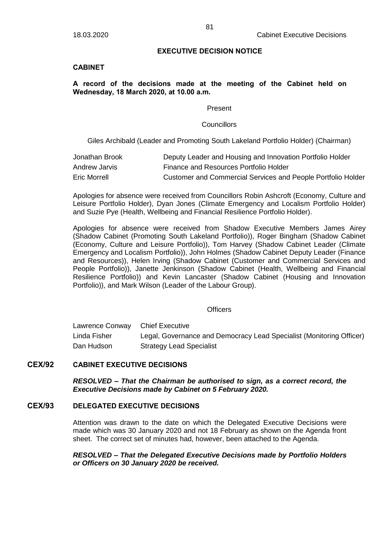### **EXECUTIVE DECISION NOTICE**

# **CABINET**

# **A record of the decisions made at the meeting of the Cabinet held on Wednesday, 18 March 2020, at 10.00 a.m.**

#### Present

### **Councillors**

Giles Archibald (Leader and Promoting South Lakeland Portfolio Holder) (Chairman)

| Jonathan Brook | Deputy Leader and Housing and Innovation Portfolio Holder    |
|----------------|--------------------------------------------------------------|
| Andrew Jarvis  | Finance and Resources Portfolio Holder                       |
| Eric Morrell   | Customer and Commercial Services and People Portfolio Holder |

Apologies for absence were received from Councillors Robin Ashcroft (Economy, Culture and Leisure Portfolio Holder), Dyan Jones (Climate Emergency and Localism Portfolio Holder) and Suzie Pye (Health, Wellbeing and Financial Resilience Portfolio Holder).

Apologies for absence were received from Shadow Executive Members James Airey (Shadow Cabinet (Promoting South Lakeland Portfolio)), Roger Bingham (Shadow Cabinet (Economy, Culture and Leisure Portfolio)), Tom Harvey (Shadow Cabinet Leader (Climate Emergency and Localism Portfolio)), John Holmes (Shadow Cabinet Deputy Leader (Finance and Resources)), Helen Irving (Shadow Cabinet (Customer and Commercial Services and People Portfolio)), Janette Jenkinson (Shadow Cabinet (Health, Wellbeing and Financial Resilience Portfolio)) and Kevin Lancaster (Shadow Cabinet (Housing and Innovation Portfolio)), and Mark Wilson (Leader of the Labour Group).

#### **Officers**

| Lawrence Conway | <b>Chief Executive</b>                                               |
|-----------------|----------------------------------------------------------------------|
| Linda Fisher    | Legal, Governance and Democracy Lead Specialist (Monitoring Officer) |
| Dan Hudson      | <b>Strategy Lead Specialist</b>                                      |

# **CEX/92 CABINET EXECUTIVE DECISIONS**

*RESOLVED – That the Chairman be authorised to sign, as a correct record, the Executive Decisions made by Cabinet on 5 February 2020.*

# **CEX/93 DELEGATED EXECUTIVE DECISIONS**

Attention was drawn to the date on which the Delegated Executive Decisions were made which was 30 January 2020 and not 18 February as shown on the Agenda front sheet. The correct set of minutes had, however, been attached to the Agenda.

*RESOLVED – That the Delegated Executive Decisions made by Portfolio Holders or Officers on 30 January 2020 be received.*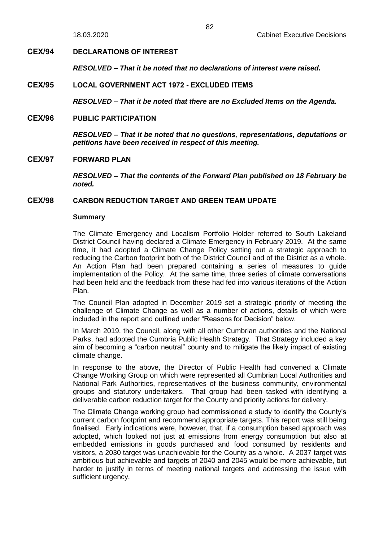# **CEX/94 DECLARATIONS OF INTEREST**

*RESOLVED – That it be noted that no declarations of interest were raised.*

# **CEX/95 LOCAL GOVERNMENT ACT 1972 - EXCLUDED ITEMS**

*RESOLVED – That it be noted that there are no Excluded Items on the Agenda.*

# **CEX/96 PUBLIC PARTICIPATION**

*RESOLVED – That it be noted that no questions, representations, deputations or petitions have been received in respect of this meeting.*

## **CEX/97 FORWARD PLAN**

*RESOLVED – That the contents of the Forward Plan published on 18 February be noted.*

# **CEX/98 CARBON REDUCTION TARGET AND GREEN TEAM UPDATE**

#### **Summary**

The Climate Emergency and Localism Portfolio Holder referred to South Lakeland District Council having declared a Climate Emergency in February 2019. At the same time, it had adopted a Climate Change Policy setting out a strategic approach to reducing the Carbon footprint both of the District Council and of the District as a whole. An Action Plan had been prepared containing a series of measures to guide implementation of the Policy. At the same time, three series of climate conversations had been held and the feedback from these had fed into various iterations of the Action Plan.

The Council Plan adopted in December 2019 set a strategic priority of meeting the challenge of Climate Change as well as a number of actions, details of which were included in the report and outlined under "Reasons for Decision" below.

In March 2019, the Council, along with all other Cumbrian authorities and the National Parks, had adopted the Cumbria Public Health Strategy. That Strategy included a key aim of becoming a "carbon neutral" county and to mitigate the likely impact of existing climate change.

In response to the above, the Director of Public Health had convened a Climate Change Working Group on which were represented all Cumbrian Local Authorities and National Park Authorities, representatives of the business community, environmental groups and statutory undertakers. That group had been tasked with identifying a deliverable carbon reduction target for the County and priority actions for delivery.

The Climate Change working group had commissioned a study to identify the County's current carbon footprint and recommend appropriate targets. This report was still being finalised. Early indications were, however, that, if a consumption based approach was adopted, which looked not just at emissions from energy consumption but also at embedded emissions in goods purchased and food consumed by residents and visitors, a 2030 target was unachievable for the County as a whole. A 2037 target was ambitious but achievable and targets of 2040 and 2045 would be more achievable, but harder to justify in terms of meeting national targets and addressing the issue with sufficient urgency.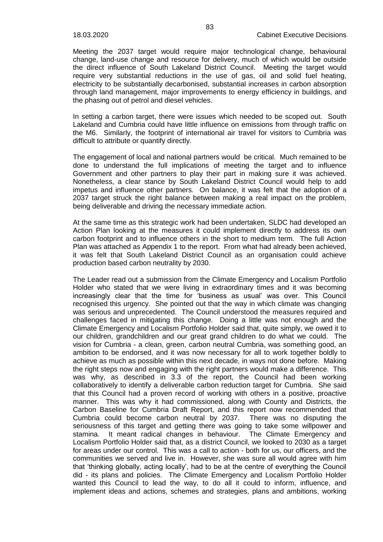Meeting the 2037 target would require major technological change, behavioural change, land-use change and resource for delivery, much of which would be outside the direct influence of South Lakeland District Council. Meeting the target would require very substantial reductions in the use of gas, oil and solid fuel heating, electricity to be substantially decarbonised, substantial increases in carbon absorption through land management, major improvements to energy efficiency in buildings, and the phasing out of petrol and diesel vehicles.

In setting a carbon target, there were issues which needed to be scoped out. South Lakeland and Cumbria could have little influence on emissions from through traffic on the M6. Similarly, the footprint of international air travel for visitors to Cumbria was difficult to attribute or quantify directly.

The engagement of local and national partners would be critical. Much remained to be done to understand the full implications of meeting the target and to influence Government and other partners to play their part in making sure it was achieved. Nonetheless, a clear stance by South Lakeland District Council would help to add impetus and influence other partners. On balance, it was felt that the adoption of a 2037 target struck the right balance between making a real impact on the problem, being deliverable and driving the necessary immediate action.

At the same time as this strategic work had been undertaken, SLDC had developed an Action Plan looking at the measures it could implement directly to address its own carbon footprint and to influence others in the short to medium term. The full Action Plan was attached as Appendix 1 to the report. From what had already been achieved, it was felt that South Lakeland District Council as an organisation could achieve production based carbon neutrality by 2030.

The Leader read out a submission from the Climate Emergency and Localism Portfolio Holder who stated that we were living in extraordinary times and it was becoming increasingly clear that the time for 'business as usual' was over. This Council recognised this urgency. She pointed out that the way in which climate was changing was serious and unprecedented. The Council understood the measures required and challenges faced in mitigating this change. Doing a little was not enough and the Climate Emergency and Localism Portfolio Holder said that, quite simply, we owed it to our children, grandchildren and our great grand children to do what we could. The vision for Cumbria - a clean, green, carbon neutral Cumbria, was something good, an ambition to be endorsed, and it was now necessary for all to work together boldly to achieve as much as possible within this next decade, in ways not done before. Making the right steps now and engaging with the right partners would make a difference. This was why, as described in 3.3 of the report, the Council had been working collaboratively to identify a deliverable carbon reduction target for Cumbria. She said that this Council had a proven record of working with others in a positive, proactive manner. This was why it had commissioned, along with County and Districts, the Carbon Baseline for Cumbria Draft Report, and this report now recommended that Cumbria could become carbon neutral by 2037. There was no disputing the seriousness of this target and getting there was going to take some willpower and stamina. It meant radical changes in behaviour. The Climate Emergency and Localism Portfolio Holder said that, as a district Council, we looked to 2030 as a target for areas under our control. This was a call to action - both for us, our officers, and the communities we served and live in. However, she was sure all would agree with him that 'thinking globally, acting locally', had to be at the centre of everything the Council did - its plans and policies. The Climate Emergency and Localism Portfolio Holder wanted this Council to lead the way, to do all it could to inform, influence, and implement ideas and actions, schemes and strategies, plans and ambitions, working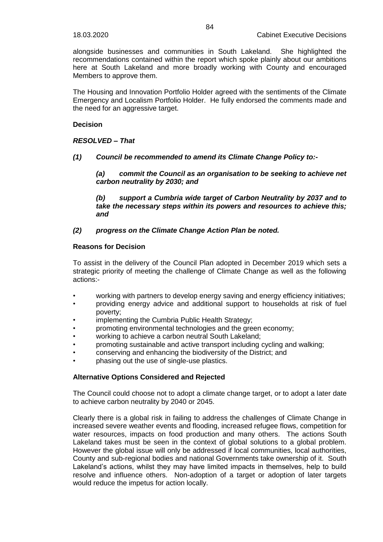alongside businesses and communities in South Lakeland. She highlighted the recommendations contained within the report which spoke plainly about our ambitions here at South Lakeland and more broadly working with County and encouraged Members to approve them.

The Housing and Innovation Portfolio Holder agreed with the sentiments of the Climate Emergency and Localism Portfolio Holder. He fully endorsed the comments made and the need for an aggressive target.

# **Decision**

# *RESOLVED – That*

*(1) Council be recommended to amend its Climate Change Policy to:-*

*(a) commit the Council as an organisation to be seeking to achieve net carbon neutrality by 2030; and*

*(b) support a Cumbria wide target of Carbon Neutrality by 2037 and to take the necessary steps within its powers and resources to achieve this; and*

# *(2) progress on the Climate Change Action Plan be noted.*

### **Reasons for Decision**

To assist in the delivery of the Council Plan adopted in December 2019 which sets a strategic priority of meeting the challenge of Climate Change as well as the following actions:-

- working with partners to develop energy saving and energy efficiency initiatives;
- providing energy advice and additional support to households at risk of fuel poverty;
- implementing the Cumbria Public Health Strategy;
- promoting environmental technologies and the green economy;
- working to achieve a carbon neutral South Lakeland;
- promoting sustainable and active transport including cycling and walking;
- conserving and enhancing the biodiversity of the District; and
- phasing out the use of single-use plastics.

# **Alternative Options Considered and Rejected**

The Council could choose not to adopt a climate change target, or to adopt a later date to achieve carbon neutrality by 2040 or 2045.

Clearly there is a global risk in failing to address the challenges of Climate Change in increased severe weather events and flooding, increased refugee flows, competition for water resources, impacts on food production and many others. The actions South Lakeland takes must be seen in the context of global solutions to a global problem. However the global issue will only be addressed if local communities, local authorities, County and sub-regional bodies and national Governments take ownership of it. South Lakeland's actions, whilst they may have limited impacts in themselves, help to build resolve and influence others. Non-adoption of a target or adoption of later targets would reduce the impetus for action locally.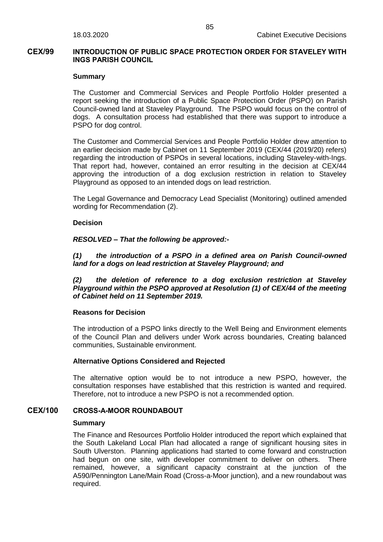# **CEX/99 INTRODUCTION OF PUBLIC SPACE PROTECTION ORDER FOR STAVELEY WITH INGS PARISH COUNCIL**

### **Summary**

The Customer and Commercial Services and People Portfolio Holder presented a report seeking the introduction of a Public Space Protection Order (PSPO) on Parish Council-owned land at Staveley Playground. The PSPO would focus on the control of dogs. A consultation process had established that there was support to introduce a PSPO for dog control.

The Customer and Commercial Services and People Portfolio Holder drew attention to an earlier decision made by Cabinet on 11 September 2019 (CEX/44 (2019/20) refers) regarding the introduction of PSPOs in several locations, including Staveley-with-Ings. That report had, however, contained an error resulting in the decision at CEX/44 approving the introduction of a dog exclusion restriction in relation to Staveley Playground as opposed to an intended dogs on lead restriction.

The Legal Governance and Democracy Lead Specialist (Monitoring) outlined amended wording for Recommendation (2).

### **Decision**

### *RESOLVED – That the following be approved:-*

*(1) the introduction of a PSPO in a defined area on Parish Council-owned land for a dogs on lead restriction at Staveley Playground; and*

*(2) the deletion of reference to a dog exclusion restriction at Staveley Playground within the PSPO approved at Resolution (1) of CEX/44 of the meeting of Cabinet held on 11 September 2019.*

### **Reasons for Decision**

The introduction of a PSPO links directly to the Well Being and Environment elements of the Council Plan and delivers under Work across boundaries, Creating balanced communities, Sustainable environment.

### **Alternative Options Considered and Rejected**

The alternative option would be to not introduce a new PSPO, however, the consultation responses have established that this restriction is wanted and required. Therefore, not to introduce a new PSPO is not a recommended option.

### **CEX/100 CROSS-A-MOOR ROUNDABOUT**

### **Summary**

The Finance and Resources Portfolio Holder introduced the report which explained that the South Lakeland Local Plan had allocated a range of significant housing sites in South Ulverston. Planning applications had started to come forward and construction had begun on one site, with developer commitment to deliver on others. There remained, however, a significant capacity constraint at the junction of the A590/Pennington Lane/Main Road (Cross-a-Moor junction), and a new roundabout was required.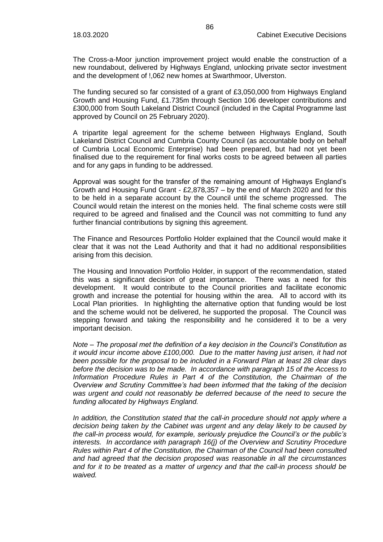The Cross-a-Moor junction improvement project would enable the construction of a new roundabout, delivered by Highways England, unlocking private sector investment and the development of !,062 new homes at Swarthmoor, Ulverston.

The funding secured so far consisted of a grant of £3,050,000 from Highways England Growth and Housing Fund, £1.735m through Section 106 developer contributions and £300,000 from South Lakeland District Council (included in the Capital Programme last approved by Council on 25 February 2020).

A tripartite legal agreement for the scheme between Highways England, South Lakeland District Council and Cumbria County Council (as accountable body on behalf of Cumbria Local Economic Enterprise) had been prepared, but had not yet been finalised due to the requirement for final works costs to be agreed between all parties and for any gaps in funding to be addressed.

Approval was sought for the transfer of the remaining amount of Highways England's Growth and Housing Fund Grant -  $£2.878.357 -$  by the end of March 2020 and for this to be held in a separate account by the Council until the scheme progressed. The Council would retain the interest on the monies held. The final scheme costs were still required to be agreed and finalised and the Council was not committing to fund any further financial contributions by signing this agreement.

The Finance and Resources Portfolio Holder explained that the Council would make it clear that it was not the Lead Authority and that it had no additional responsibilities arising from this decision.

The Housing and Innovation Portfolio Holder, in support of the recommendation, stated this was a significant decision of great importance. There was a need for this development. It would contribute to the Council priorities and facilitate economic growth and increase the potential for housing within the area. All to accord with its Local Plan priorities. In highlighting the alternative option that funding would be lost and the scheme would not be delivered, he supported the proposal. The Council was stepping forward and taking the responsibility and he considered it to be a very important decision.

*Note – The proposal met the definition of a key decision in the Council's Constitution as it would incur income above £100,000. Due to the matter having just arisen, it had not been possible for the proposal to be included in a Forward Plan at least 28 clear days before the decision was to be made. In accordance with paragraph 15 of the Access to Information Procedure Rules in Part 4 of the Constitution, the Chairman of the Overview and Scrutiny Committee's had been informed that the taking of the decision was urgent and could not reasonably be deferred because of the need to secure the funding allocated by Highways England.*

*In addition, the Constitution stated that the call-in procedure should not apply where a decision being taken by the Cabinet was urgent and any delay likely to be caused by the call-in process would, for example, seriously prejudice the Council's or the public's interests. In accordance with paragraph 16(j) of the Overview and Scrutiny Procedure Rules within Part 4 of the Constitution, the Chairman of the Council had been consulted and had agreed that the decision proposed was reasonable in all the circumstances and for it to be treated as a matter of urgency and that the call-in process should be waived.*